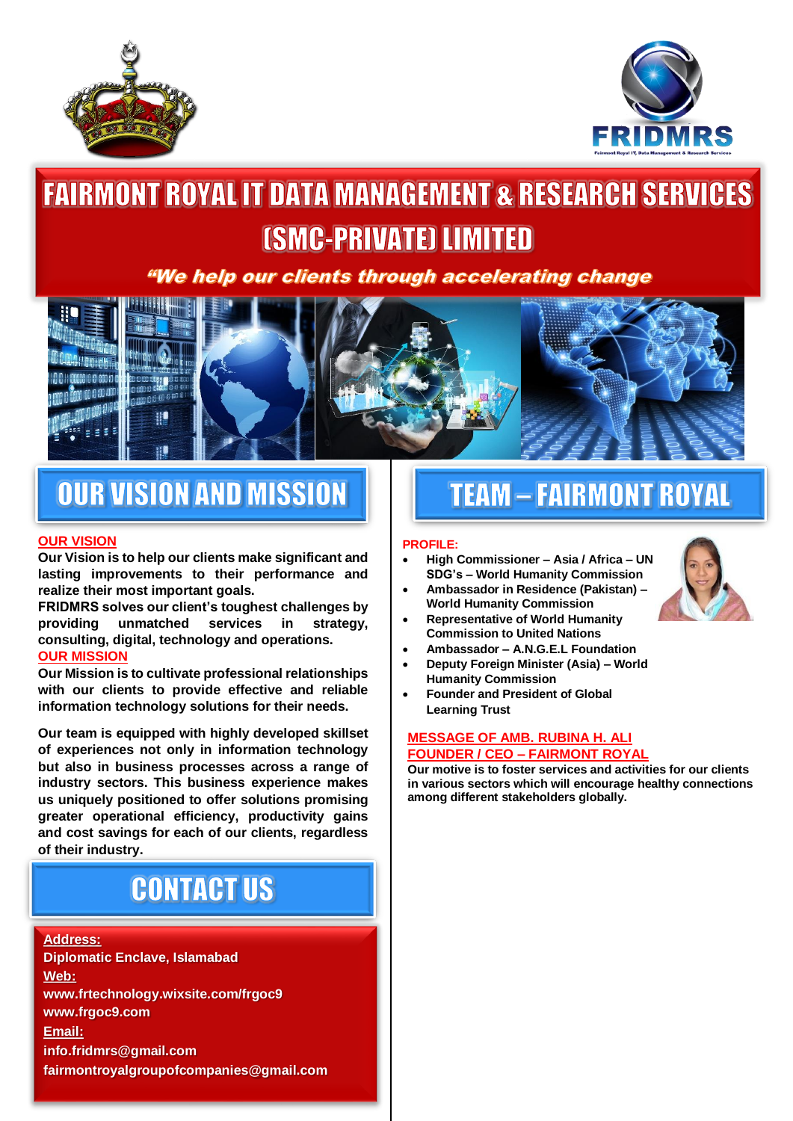



# **FAIRMONT ROYAL IT DATA MANAGEMENT & RESEARCH SERVICES** *(SMC-PRIVATE) LIMITED*

### "We help our clients through accelerating change



### **OUR VISION AND MISSION**

### **OUR VISION**

**Our Vision is to help our clients make significant and lasting improvements to their performance and realize their most important goals.**

**FRIDMRS solves our client's toughest challenges by providing unmatched services in strategy, consulting, digital, technology and operations. OUR MISSION**

**Our Mission is to cultivate professional relationships with our clients to provide effective and reliable information technology solutions for their needs.**

**Our team is equipped with highly developed skillset of experiences not only in information technology but also in business processes across a range of industry sectors. This business experience makes us uniquely positioned to offer solutions promising greater operational efficiency, productivity gains and cost savings for each of our clients, regardless of their industry.**

## **CONTACT US**

**Address: Diplomatic Enclave, Islamabad Web: www.frtechnology.wixsite.com/frgoc9 www.frgoc9.com Email: info.fridmrs@gmail.com fairmontroyalgroupofcompanies@gmail.com**

### **TEAM - FAIRMONT ROYAL**

#### **PROFILE:**

- **High Commissioner – Asia / Africa – UN SDG's – World Humanity Commission**
- **Ambassador in Residence (Pakistan) – World Humanity Commission**
- **Representative of World Humanity Commission to United Nations**
- **Ambassador – A.N.G.E.L Foundation**
- **Deputy Foreign Minister (Asia) – World Humanity Commission**
- **Founder and President of Global Learning Trust**

#### **MESSAGE OF AMB. RUBINA H. ALI FOUNDER / CEO – FAIRMONT ROYAL**

**Our motive is to foster services and activities for our clients in various sectors which will encourage healthy connections among different stakeholders globally.**